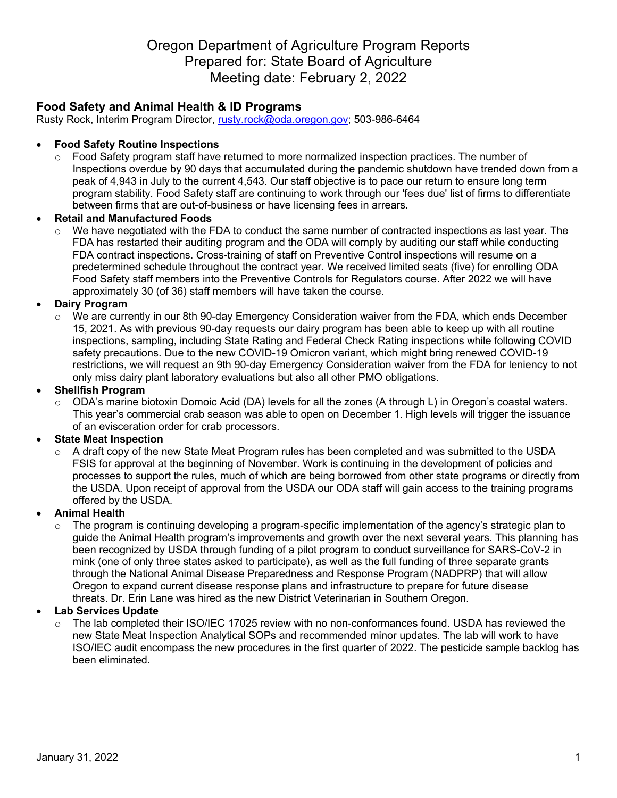# Oregon Department of Agriculture Program Reports Prepared for: State Board of Agriculture Meeting date: February 2, 2022

# **Food Safety and Animal Health & ID Programs**

Rusty Rock, Interim Program Director, rusty.rock@oda.oregon.gov; 503-986-6464

### • **Food Safety Routine Inspections**

 $\circ$  Food Safety program staff have returned to more normalized inspection practices. The number of Inspections overdue by 90 days that accumulated during the pandemic shutdown have trended down from a peak of 4,943 in July to the current 4,543. Our staff objective is to pace our return to ensure long term program stability. Food Safety staff are continuing to work through our 'fees due' list of firms to differentiate between firms that are out-of-business or have licensing fees in arrears.

### • **Retail and Manufactured Foods**

We have negotiated with the FDA to conduct the same number of contracted inspections as last year. The FDA has restarted their auditing program and the ODA will comply by auditing our staff while conducting FDA contract inspections. Cross-training of staff on Preventive Control inspections will resume on a predetermined schedule throughout the contract year. We received limited seats (five) for enrolling ODA Food Safety staff members into the Preventive Controls for Regulators course. After 2022 we will have approximately 30 (of 36) staff members will have taken the course.

### • **Dairy Program**

We are currently in our 8th 90-day Emergency Consideration waiver from the FDA, which ends December 15, 2021. As with previous 90-day requests our dairy program has been able to keep up with all routine inspections, sampling, including State Rating and Federal Check Rating inspections while following COVID safety precautions. Due to the new COVID-19 Omicron variant, which might bring renewed COVID-19 restrictions, we will request an 9th 90-day Emergency Consideration waiver from the FDA for leniency to not only miss dairy plant laboratory evaluations but also all other PMO obligations.

### • **Shellfish Program**

 $\circ$  ODA's marine biotoxin Domoic Acid (DA) levels for all the zones (A through L) in Oregon's coastal waters. This year's commercial crab season was able to open on December 1. High levels will trigger the issuance of an evisceration order for crab processors.

### • **State Meat Inspection**

 $\circ$  A draft copy of the new State Meat Program rules has been completed and was submitted to the USDA FSIS for approval at the beginning of November. Work is continuing in the development of policies and processes to support the rules, much of which are being borrowed from other state programs or directly from the USDA. Upon receipt of approval from the USDA our ODA staff will gain access to the training programs offered by the USDA.

### • **Animal Health**

 $\circ$  The program is continuing developing a program-specific implementation of the agency's strategic plan to guide the Animal Health program's improvements and growth over the next several years. This planning has been recognized by USDA through funding of a pilot program to conduct surveillance for SARS-CoV-2 in mink (one of only three states asked to participate), as well as the full funding of three separate grants through the National Animal Disease Preparedness and Response Program (NADPRP) that will allow Oregon to expand current disease response plans and infrastructure to prepare for future disease threats. Dr. Erin Lane was hired as the new District Veterinarian in Southern Oregon.

### • **Lab Services Update**

The lab completed their ISO/IEC 17025 review with no non-conformances found. USDA has reviewed the new State Meat Inspection Analytical SOPs and recommended minor updates. The lab will work to have ISO/IEC audit encompass the new procedures in the first quarter of 2022. The pesticide sample backlog has been eliminated.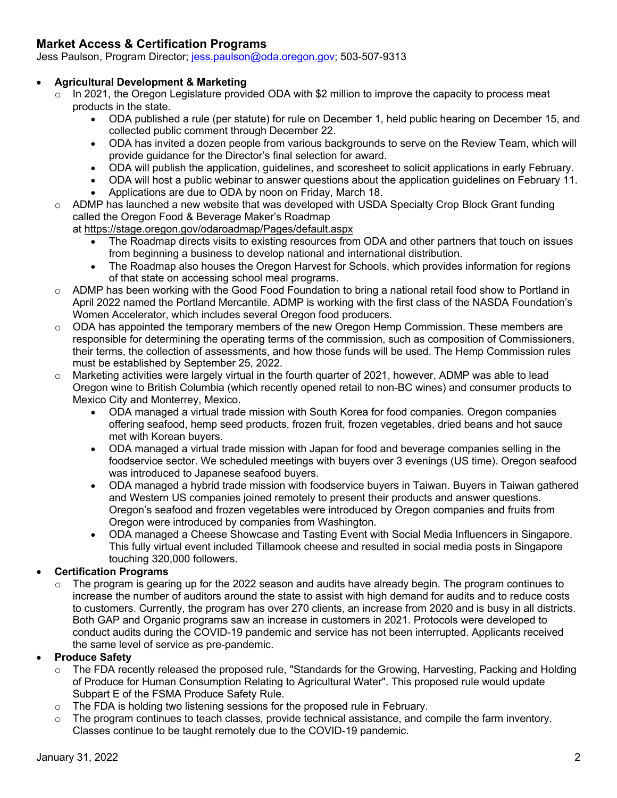# **Market Access & Certification Programs**

Jess Paulson, Program Director; jess.paulson@oda.oregon.gov; 503-507-9313

### • **Agricultural Development & Marketing**

- o In 2021, the Oregon Legislature provided ODA with \$2 million to improve the capacity to process meat products in the state.
	- ODA published a rule (per statute) for rule on December 1, held public hearing on December 15, and collected public comment through December 22.
	- ODA has invited a dozen people from various backgrounds to serve on the Review Team, which will provide guidance for the Director's final selection for award.
	- ODA will publish the application, guidelines, and scoresheet to solicit applications in early February.
	- ODA will host a public webinar to answer questions about the application guidelines on February 11.
	- Applications are due to ODA by noon on Friday, March 18.
- $\circ$  ADMP has launched a new website that was developed with USDA Specialty Crop Block Grant funding called the Oregon Food & Beverage Maker's Roadmap

at https://stage.oregon.gov/odaroadmap/Pages/default.aspx

- The Roadmap directs visits to existing resources from ODA and other partners that touch on issues from beginning a business to develop national and international distribution.
- The Roadmap also houses the Oregon Harvest for Schools, which provides information for regions of that state on accessing school meal programs.
- $\circ$  ADMP has been working with the Good Food Foundation to bring a national retail food show to Portland in April 2022 named the Portland Mercantile. ADMP is working with the first class of the NASDA Foundation's Women Accelerator, which includes several Oregon food producers.
- $\circ$  ODA has appointed the temporary members of the new Oregon Hemp Commission. These members are responsible for determining the operating terms of the commission, such as composition of Commissioners, their terms, the collection of assessments, and how those funds will be used. The Hemp Commission rules must be established by September 25, 2022.
- $\circ$  Marketing activities were largely virtual in the fourth quarter of 2021, however, ADMP was able to lead Oregon wine to British Columbia (which recently opened retail to non-BC wines) and consumer products to Mexico City and Monterrey, Mexico.
	- ODA managed a virtual trade mission with South Korea for food companies. Oregon companies offering seafood, hemp seed products, frozen fruit, frozen vegetables, dried beans and hot sauce met with Korean buyers.
	- ODA managed a virtual trade mission with Japan for food and beverage companies selling in the foodservice sector. We scheduled meetings with buyers over 3 evenings (US time). Oregon seafood was introduced to Japanese seafood buyers.
	- ODA managed a hybrid trade mission with foodservice buyers in Taiwan. Buyers in Taiwan gathered and Western US companies joined remotely to present their products and answer questions. Oregon's seafood and frozen vegetables were introduced by Oregon companies and fruits from Oregon were introduced by companies from Washington.
	- ODA managed a Cheese Showcase and Tasting Event with Social Media Influencers in Singapore. This fully virtual event included Tillamook cheese and resulted in social media posts in Singapore touching 320,000 followers.

# • **Certification Programs**

 $\circ$  The program is gearing up for the 2022 season and audits have already begin. The program continues to increase the number of auditors around the state to assist with high demand for audits and to reduce costs to customers. Currently, the program has over 270 clients, an increase from 2020 and is busy in all districts. Both GAP and Organic programs saw an increase in customers in 2021. Protocols were developed to conduct audits during the COVID-19 pandemic and service has not been interrupted. Applicants received the same level of service as pre-pandemic.

# • **Produce Safety**

- $\circ$  The FDA recently released the proposed rule, "Standards for the Growing, Harvesting, Packing and Holding of Produce for Human Consumption Relating to Agricultural Water". This proposed rule would update Subpart E of the FSMA Produce Safety Rule.
- o The FDA is holding two listening sessions for the proposed rule in February.
- $\circ$  The program continues to teach classes, provide technical assistance, and compile the farm inventory. Classes continue to be taught remotely due to the COVID-19 pandemic.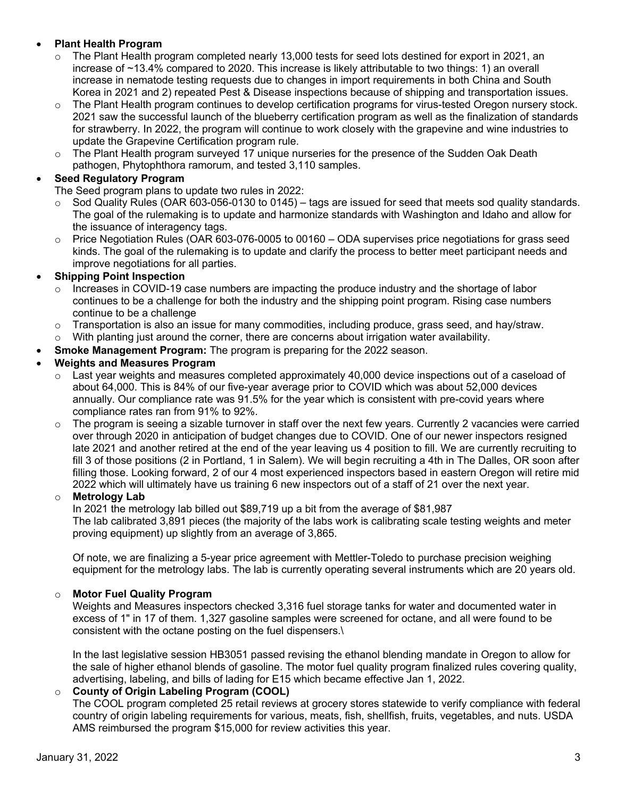# • **Plant Health Program**

- $\circ$  The Plant Health program completed nearly 13,000 tests for seed lots destined for export in 2021, an increase of ~13.4% compared to 2020. This increase is likely attributable to two things: 1) an overall increase in nematode testing requests due to changes in import requirements in both China and South Korea in 2021 and 2) repeated Pest & Disease inspections because of shipping and transportation issues.
- $\circ$  The Plant Health program continues to develop certification programs for virus-tested Oregon nursery stock. 2021 saw the successful launch of the blueberry certification program as well as the finalization of standards for strawberry. In 2022, the program will continue to work closely with the grapevine and wine industries to update the Grapevine Certification program rule.
- $\circ$  The Plant Health program surveyed 17 unique nurseries for the presence of the Sudden Oak Death pathogen, Phytophthora ramorum, and tested 3,110 samples.

### • **Seed Regulatory Program**

The Seed program plans to update two rules in 2022:

- $\circ$  Sod Quality Rules (OAR 603-056-0130 to 0145) tags are issued for seed that meets sod quality standards. The goal of the rulemaking is to update and harmonize standards with Washington and Idaho and allow for the issuance of interagency tags.
- $\circ$  Price Negotiation Rules (OAR 603-076-0005 to 00160 ODA supervises price negotiations for grass seed kinds. The goal of the rulemaking is to update and clarify the process to better meet participant needs and improve negotiations for all parties.

### • **Shipping Point Inspection**

- $\circ$  Increases in COVID-19 case numbers are impacting the produce industry and the shortage of labor continues to be a challenge for both the industry and the shipping point program. Rising case numbers continue to be a challenge
- o Transportation is also an issue for many commodities, including produce, grass seed, and hay/straw.
- $\circ$  With planting just around the corner, there are concerns about irrigation water availability.
- **Smoke Management Program:** The program is preparing for the 2022 season.

#### • **Weights and Measures Program**

- $\circ$  Last year weights and measures completed approximately 40,000 device inspections out of a caseload of about 64,000. This is 84% of our five-year average prior to COVID which was about 52,000 devices annually. Our compliance rate was 91.5% for the year which is consistent with pre-covid years where compliance rates ran from 91% to 92%.
- $\circ$  The program is seeing a sizable turnover in staff over the next few years. Currently 2 vacancies were carried over through 2020 in anticipation of budget changes due to COVID. One of our newer inspectors resigned late 2021 and another retired at the end of the year leaving us 4 position to fill. We are currently recruiting to fill 3 of those positions (2 in Portland, 1 in Salem). We will begin recruiting a 4th in The Dalles, OR soon after filling those. Looking forward, 2 of our 4 most experienced inspectors based in eastern Oregon will retire mid 2022 which will ultimately have us training 6 new inspectors out of a staff of 21 over the next year.

#### o **Metrology Lab**

In 2021 the metrology lab billed out \$89,719 up a bit from the average of \$81,987 The lab calibrated 3,891 pieces (the majority of the labs work is calibrating scale testing weights and meter proving equipment) up slightly from an average of 3,865.

Of note, we are finalizing a 5-year price agreement with Mettler-Toledo to purchase precision weighing equipment for the metrology labs. The lab is currently operating several instruments which are 20 years old.

#### o **Motor Fuel Quality Program**

Weights and Measures inspectors checked 3,316 fuel storage tanks for water and documented water in excess of 1" in 17 of them. 1,327 gasoline samples were screened for octane, and all were found to be consistent with the octane posting on the fuel dispensers.\

In the last legislative session HB3051 passed revising the ethanol blending mandate in Oregon to allow for the sale of higher ethanol blends of gasoline. The motor fuel quality program finalized rules covering quality, advertising, labeling, and bills of lading for E15 which became effective Jan 1, 2022.

### o **County of Origin Labeling Program (COOL)**

The COOL program completed 25 retail reviews at grocery stores statewide to verify compliance with federal country of origin labeling requirements for various, meats, fish, shellfish, fruits, vegetables, and nuts. USDA AMS reimbursed the program \$15,000 for review activities this year.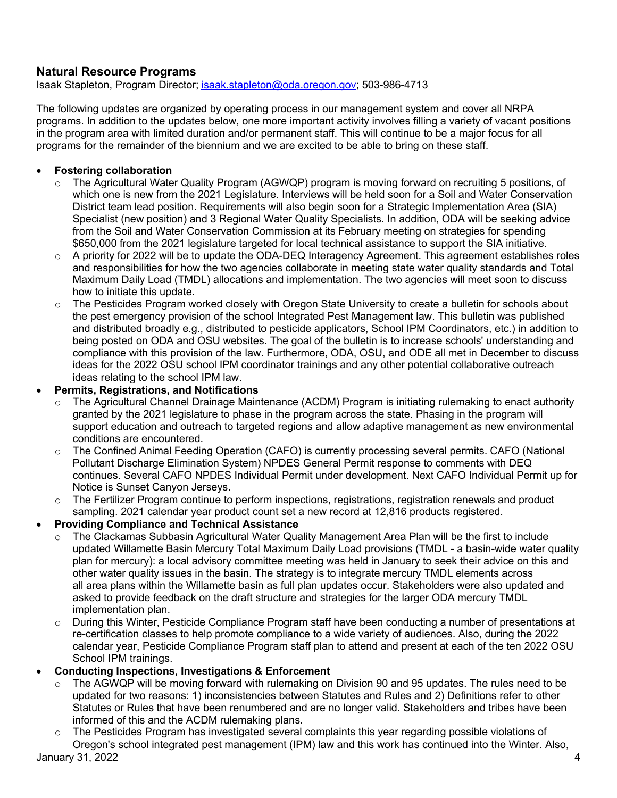# **Natural Resource Programs**

Isaak Stapleton, Program Director; isaak.stapleton@oda.oregon.gov; 503-986-4713

The following updates are organized by operating process in our management system and cover all NRPA programs. In addition to the updates below, one more important activity involves filling a variety of vacant positions in the program area with limited duration and/or permanent staff. This will continue to be a major focus for all programs for the remainder of the biennium and we are excited to be able to bring on these staff.

# • **Fostering collaboration**

- o The Agricultural Water Quality Program (AGWQP) program is moving forward on recruiting 5 positions, of which one is new from the 2021 Legislature. Interviews will be held soon for a Soil and Water Conservation District team lead position. Requirements will also begin soon for a Strategic Implementation Area (SIA) Specialist (new position) and 3 Regional Water Quality Specialists. In addition, ODA will be seeking advice from the Soil and Water Conservation Commission at its February meeting on strategies for spending \$650,000 from the 2021 legislature targeted for local technical assistance to support the SIA initiative.
- o A priority for 2022 will be to update the ODA-DEQ Interagency Agreement. This agreement establishes roles and responsibilities for how the two agencies collaborate in meeting state water quality standards and Total Maximum Daily Load (TMDL) allocations and implementation. The two agencies will meet soon to discuss how to initiate this update.
- o The Pesticides Program worked closely with Oregon State University to create a bulletin for schools about the pest emergency provision of the school Integrated Pest Management law. This bulletin was published and distributed broadly e.g., distributed to pesticide applicators, School IPM Coordinators, etc.) in addition to being posted on ODA and OSU websites. The goal of the bulletin is to increase schools' understanding and compliance with this provision of the law. Furthermore, ODA, OSU, and ODE all met in December to discuss ideas for the 2022 OSU school IPM coordinator trainings and any other potential collaborative outreach ideas relating to the school IPM law.

# • **Permits, Registrations, and Notifications**

- o The Agricultural Channel Drainage Maintenance (ACDM) Program is initiating rulemaking to enact authority granted by the 2021 legislature to phase in the program across the state. Phasing in the program will support education and outreach to targeted regions and allow adaptive management as new environmental conditions are encountered.
- o The Confined Animal Feeding Operation (CAFO) is currently processing several permits. CAFO (National Pollutant Discharge Elimination System) NPDES General Permit response to comments with DEQ continues. Several CAFO NPDES Individual Permit under development. Next CAFO Individual Permit up for Notice is Sunset Canyon Jerseys.
- $\circ$  The Fertilizer Program continue to perform inspections, registrations, registration renewals and product sampling. 2021 calendar year product count set a new record at 12,816 products registered.

# • **Providing Compliance and Technical Assistance**

- $\circ$  The Clackamas Subbasin Agricultural Water Quality Management Area Plan will be the first to include updated Willamette Basin Mercury Total Maximum Daily Load provisions (TMDL - a basin-wide water quality plan for mercury): a local advisory committee meeting was held in January to seek their advice on this and other water quality issues in the basin. The strategy is to integrate mercury TMDL elements across all area plans within the Willamette basin as full plan updates occur. Stakeholders were also updated and asked to provide feedback on the draft structure and strategies for the larger ODA mercury TMDL implementation plan.
- o During this Winter, Pesticide Compliance Program staff have been conducting a number of presentations at re-certification classes to help promote compliance to a wide variety of audiences. Also, during the 2022 calendar year, Pesticide Compliance Program staff plan to attend and present at each of the ten 2022 OSU School IPM trainings.

# • **Conducting Inspections, Investigations & Enforcement**

- $\circ$  The AGWQP will be moving forward with rulemaking on Division 90 and 95 updates. The rules need to be updated for two reasons: 1) inconsistencies between Statutes and Rules and 2) Definitions refer to other Statutes or Rules that have been renumbered and are no longer valid. Stakeholders and tribes have been informed of this and the ACDM rulemaking plans.
- January 31, 2022 4  $\circ$  The Pesticides Program has investigated several complaints this year regarding possible violations of Oregon's school integrated pest management (IPM) law and this work has continued into the Winter. Also,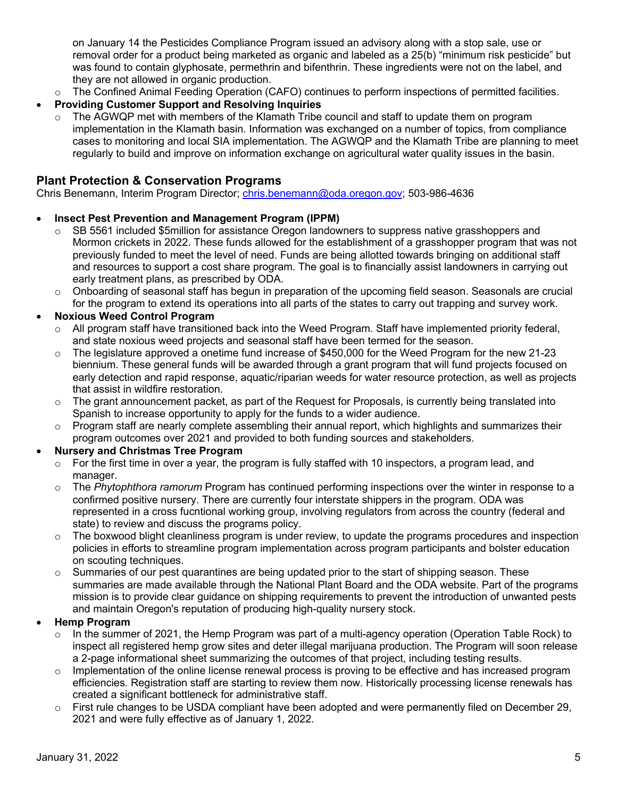on January 14 the Pesticides Compliance Program issued an advisory along with a stop sale, use or removal order for a product being marketed as organic and labeled as a 25(b) "minimum risk pesticide" but was found to contain glyphosate, permethrin and bifenthrin. These ingredients were not on the label, and they are not allowed in organic production.

- o The Confined Animal Feeding Operation (CAFO) continues to perform inspections of permitted facilities.
- **Providing Customer Support and Resolving Inquiries**
	- $\circ$  The AGWQP met with members of the Klamath Tribe council and staff to update them on program implementation in the Klamath basin. Information was exchanged on a number of topics, from compliance cases to monitoring and local SIA implementation. The AGWQP and the Klamath Tribe are planning to meet regularly to build and improve on information exchange on agricultural water quality issues in the basin.

# **Plant Protection & Conservation Programs**

Chris Benemann, Interim Program Director; chris.benemann@oda.oregon.gov; 503-986-4636

# • **Insect Pest Prevention and Management Program (IPPM)**

- $\circ$  SB 5561 included \$5million for assistance Oregon landowners to suppress native grasshoppers and Mormon crickets in 2022. These funds allowed for the establishment of a grasshopper program that was not previously funded to meet the level of need. Funds are being allotted towards bringing on additional staff and resources to support a cost share program. The goal is to financially assist landowners in carrying out early treatment plans, as prescribed by ODA.
- $\circ$  Onboarding of seasonal staff has begun in preparation of the upcoming field season. Seasonals are crucial for the program to extend its operations into all parts of the states to carry out trapping and survey work.

# • **Noxious Weed Control Program**

- $\circ$  All program staff have transitioned back into the Weed Program. Staff have implemented priority federal, and state noxious weed projects and seasonal staff have been termed for the season.
- $\circ$  The legislature approved a onetime fund increase of \$450,000 for the Weed Program for the new 21-23 biennium. These general funds will be awarded through a grant program that will fund projects focused on early detection and rapid response, aquatic/riparian weeds for water resource protection, as well as projects that assist in wildfire restoration.
- $\circ$  The grant announcement packet, as part of the Request for Proposals, is currently being translated into Spanish to increase opportunity to apply for the funds to a wider audience.
- $\circ$  Program staff are nearly complete assembling their annual report, which highlights and summarizes their program outcomes over 2021 and provided to both funding sources and stakeholders.

# • **Nursery and Christmas Tree Program**

- $\circ$  For the first time in over a year, the program is fully staffed with 10 inspectors, a program lead, and manager.
- o The *Phytophthora ramorum* Program has continued performing inspections over the winter in response to a confirmed positive nursery. There are currently four interstate shippers in the program. ODA was represented in a cross fucntional working group, involving regulators from across the country (federal and state) to review and discuss the programs policy.
- $\circ$  The boxwood blight cleanliness program is under review, to update the programs procedures and inspection policies in efforts to streamline program implementation across program participants and bolster education on scouting techniques.
- $\circ$  Summaries of our pest quarantines are being updated prior to the start of shipping season. These summaries are made available through the National Plant Board and the ODA website. Part of the programs mission is to provide clear guidance on shipping requirements to prevent the introduction of unwanted pests and maintain Oregon's reputation of producing high-quality nursery stock.

# • **Hemp Program**

- $\circ$  In the summer of 2021, the Hemp Program was part of a multi-agency operation (Operation Table Rock) to inspect all registered hemp grow sites and deter illegal marijuana production. The Program will soon release a 2-page informational sheet summarizing the outcomes of that project, including testing results.
- $\circ$  Implementation of the online license renewal process is proving to be effective and has increased program efficiencies. Registration staff are starting to review them now. Historically processing license renewals has created a significant bottleneck for administrative staff.
- o First rule changes to be USDA compliant have been adopted and were permanently filed on December 29, 2021 and were fully effective as of January 1, 2022.